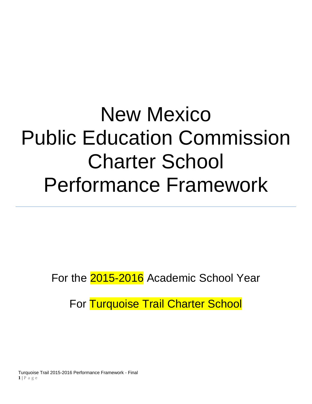# New Mexico Public Education Commission Charter School Performance Framework

For the 2015-2016 Academic School Year

For Turquoise Trail Charter School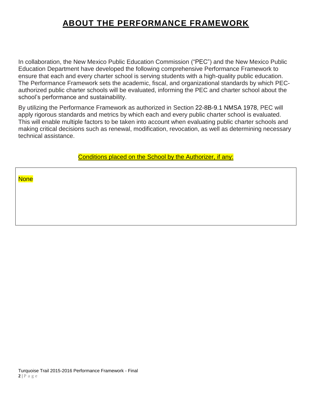# **ABOUT THE PERFORMANCE FRAMEWORK**

In collaboration, the New Mexico Public Education Commission ("PEC") and the New Mexico Public Education Department have developed the following comprehensive Performance Framework to ensure that each and every charter school is serving students with a high-quality public education. The Performance Framework sets the academic, fiscal, and organizational standards by which PECauthorized public charter schools will be evaluated, informing the PEC and charter school about the school's performance and sustainability.

By utilizing the Performance Framework as authorized in Section 22-8B-9.1 NMSA 1978, PEC will apply rigorous standards and metrics by which each and every public charter school is evaluated. This will enable multiple factors to be taken into account when evaluating public charter schools and making critical decisions such as renewal, modification, revocation, as well as determining necessary technical assistance.

Conditions placed on the School by the Authorizer, if any:

**None**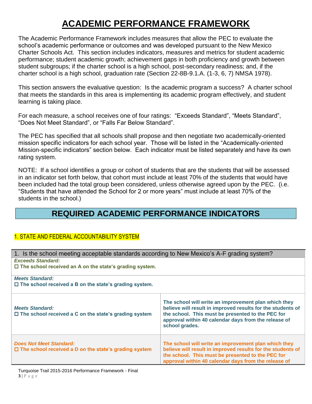# **ACADEMIC PERFORMANCE FRAMEWORK**

The Academic Performance Framework includes measures that allow the PEC to evaluate the school's academic performance or outcomes and was developed pursuant to the New Mexico Charter Schools Act. This section includes indicators, measures and metrics for student academic performance; student academic growth; achievement gaps in both proficiency and growth between student subgroups; if the charter school is a high school, post-secondary readiness; and, if the charter school is a high school, graduation rate (Section 22-8B-9.1.A. (1-3, 6, 7) NMSA 1978).

This section answers the evaluative question: Is the academic program a success? A charter school that meets the standards in this area is implementing its academic program effectively, and student learning is taking place.

For each measure, a school receives one of four ratings: "Exceeds Standard", "Meets Standard", "Does Not Meet Standard", or "Falls Far Below Standard".

The PEC has specified that all schools shall propose and then negotiate two academically-oriented mission specific indicators for each school year. Those will be listed in the "Academically-oriented Mission-specific indicators" section below. Each indicator must be listed separately and have its own rating system.

NOTE: If a school identifies a group or cohort of students that are the students that will be assessed in an indicator set forth below, that cohort must include at least 70% of the students that would have been included had the total group been considered, unless otherwise agreed upon by the PEC. (i.e. "Students that have attended the School for 2 or more years" must include at least 70% of the students in the school.)

# **REQUIRED ACADEMIC PERFORMANCE INDICATORS**

# 1. STATE AND FEDERAL ACCOUNTABILITY SYSTEM

| 1. Is the school meeting acceptable standards according to New Mexico's A-F grading system?                                                                                                                                                        |  |  |  |  |
|----------------------------------------------------------------------------------------------------------------------------------------------------------------------------------------------------------------------------------------------------|--|--|--|--|
| <b>Exceeds Standard:</b>                                                                                                                                                                                                                           |  |  |  |  |
| $\Box$ The school received an A on the state's grading system.                                                                                                                                                                                     |  |  |  |  |
|                                                                                                                                                                                                                                                    |  |  |  |  |
| $\Box$ The school received a B on the state's grading system.                                                                                                                                                                                      |  |  |  |  |
| The school will write an improvement plan which they<br>believe will result in improved results for the students of<br>the school. This must be presented to the PEC for<br>approval within 40 calendar days from the release of<br>school grades. |  |  |  |  |
| The school will write an improvement plan which they<br>believe will result in improved results for the students of<br>the school. This must be presented to the PEC for<br>approval within 40 calendar days from the release of                   |  |  |  |  |
|                                                                                                                                                                                                                                                    |  |  |  |  |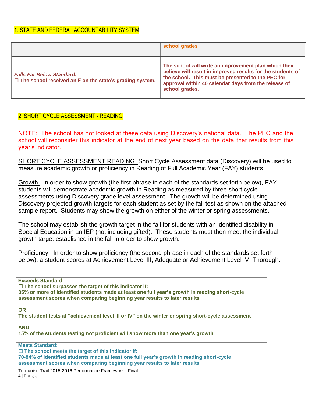|                                                                                                       | school grades                                                                                                                                                                                                                                      |
|-------------------------------------------------------------------------------------------------------|----------------------------------------------------------------------------------------------------------------------------------------------------------------------------------------------------------------------------------------------------|
| <b>Falls Far Below Standard:</b><br>$\square$ The school received an F on the state's grading system. | The school will write an improvement plan which they<br>believe will result in improved results for the students of<br>the school. This must be presented to the PEC for<br>approval within 40 calendar days from the release of<br>school grades. |

# 2. SHORT CYCLE ASSESSMENT - READING

NOTE: The school has not looked at these data using Discovery's national data. The PEC and the school will reconsider this indicator at the end of next year based on the data that results from this year's indicator.

SHORT CYCLE ASSESSMENT READING Short Cycle Assessment data (Discovery) will be used to measure academic growth or proficiency in Reading of Full Academic Year (FAY) students.

Growth. In order to show growth (the first phrase in each of the standards set forth below), FAY students will demonstrate academic growth in Reading as measured by three short cycle assessments using Discovery grade level assessment. The growth will be determined using Discovery projected growth targets for each student as set by the fall test as shown on the attached sample report. Students may show the growth on either of the winter or spring assessments.

The school may establish the growth target in the fall for students with an identified disability in Special Education in an IEP (not including gifted). These students must then meet the individual growth target established in the fall in order to show growth.

Proficiency. In order to show proficiency (the second phrase in each of the standards set forth below), a student scores at Achievement Level III, Adequate or Achievement Level IV, Thorough.

**Exceeds Standard: The school surpasses the target of this indicator if: 85% or more of identified students made at least one full year's growth in reading short-cycle assessment scores when comparing beginning year results to later results**

**OR**

**The student tests at "achievement level III or IV" on the winter or spring short-cycle assessment**

**AND**

**15% of the students testing not proficient will show more than one year's growth**

**Meets Standard:**

**The school meets the target of this indicator if:**

**70-84% of identified students made at least one full year's growth in reading short-cycle assessment scores when comparing beginning year results to later results** 

Turquoise Trail 2015-2016 Performance Framework - Final **4** | P a g e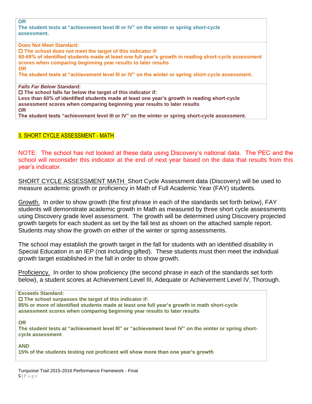**OR**

**The student tests at "achievement level III or IV" on the winter or spring short-cycle assessment.**

**Does Not Meet Standard: The school does not meet the target of this indicator if: 60-69% of identified students made at least one full year's growth in reading short-cycle assessment scores when comparing beginning year results to later results OR The student tests at "achievement level III or IV" on the winter or spring short-cycle assessment.** *Falls Far Below Standard:* **The school falls far below the target of this indicator if: Less than 60% of identified students made at least one year's growth in reading short-cycle assessment scores when comparing beginning year results to later results** 

**OR The student tests "achievement level III or IV" on the winter or spring short-cycle assessment.**

# 3. SHORT CYCLE ASSESSMENT - MATH

NOTE: The school has not looked at these data using Discovery's national data. The PEC and the school will reconsider this indicator at the end of next year based on the data that results from this year's indicator.

SHORT CYCLE ASSESSMENT MATH Short Cycle Assessment data (Discovery) will be used to measure academic growth or proficiency in Math of Full Academic Year (FAY) students.

Growth. In order to show growth (the first phrase in each of the standards set forth below), FAY students will demonstrate academic growth in Math as measured by three short cycle assessments using Discovery grade level assessment. The growth will be determined using Discovery projected growth targets for each student as set by the fall test as shown on the attached sample report. Students may show the growth on either of the winter or spring assessments.

The school may establish the growth target in the fall for students with an identified disability in Special Education in an IEP (not including gifted). These students must then meet the individual growth target established in the fall in order to show growth.

Proficiency. In order to show proficiency (the second phrase in each of the standards set forth below), a student scores at Achievement Level III, Adequate or Achievement Level IV, Thorough.

**Exceeds Standard:**

 **The school surpasses the target of this indicator if: 85% or more of identified students made at least one full year's growth in math short-cycle assessment scores when comparing beginning year results to later results** 

**OR**

The student tests at "achievement level III" or "achievement level IV" on the winter or spring short**cycle assessment**

**AND**

**15% of the students testing not proficient will show more than one year's growth**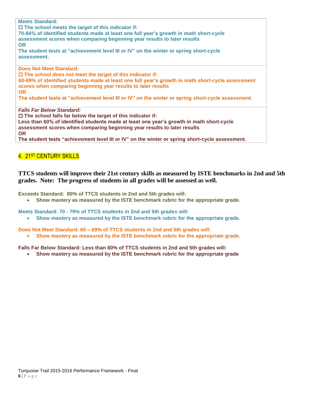**Meets Standard: The school meets the target of this indicator if: 70-84% of identified students made at least one full year's growth in math short-cycle assessment scores when comparing beginning year results to later results OR The student tests at "achievement level III or IV" on the winter or spring short-cycle assessment. Does Not Meet Standard: The school does not meet the target of this indicator if: 60-69% of identified students made at least one full year's growth in math short-cycle assessment scores when comparing beginning year results to later results OR The student tests at "achievement level III or IV" on the winter or spring short-cycle assessment.** *Falls Far Below Standard:* **The school falls far below the target of this indicator if:**

**Less than 60% of identified students made at least one year's growth in math short-cycle assessment scores when comparing beginning year results to later results OR**

**The student tests "achievement level III or IV" on the winter or spring short-cycle assessment.**

# 4. 21<sup>ST</sup> CENTURY SKILLS

## **TTCS students will improve their 21st century skills as measured by ISTE benchmarks in 2nd and 5th grades. Note: The progress of students in all grades will be assessed as well.**

**Exceeds Standard: 80% of TTCS students in 2nd and 5th grades will:**

**Show mastery as measured by the ISTE benchmark rubric for the appropriate grade.**

**Meets Standard: 70 - 79% of TTCS students in 2nd and 5th grades will:**

**Show mastery as measured by the ISTE benchmark rubric for the appropriate grade.**

**Does Not Meet Standard: 60 – 69% of TTCS students in 2nd and 5th grades will:**

**Show mastery as measured by the ISTE benchmark rubric for the appropriate grade.**

**Falls Far Below Standard: Less than 60% of TTCS students in 2nd and 5th grades will:**

**Show mastery as measured by the ISTE benchmark rubric for the appropriate grade**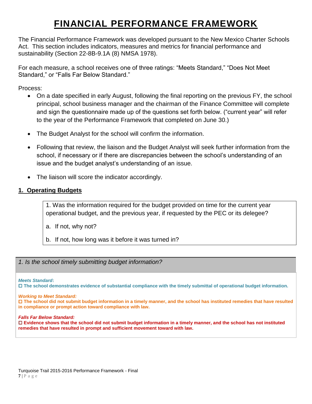# **FINANCIAL PERFORMANCE FRAMEWORK**

The Financial Performance Framework was developed pursuant to the New Mexico Charter Schools Act. This section includes indicators, measures and metrics for financial performance and sustainability (Section 22-8B-9.1A (8) NMSA 1978).

For each measure, a school receives one of three ratings: "Meets Standard," "Does Not Meet Standard," or "Falls Far Below Standard."

Process:

- On a date specified in early August, following the final reporting on the previous FY, the school principal, school business manager and the chairman of the Finance Committee will complete and sign the questionnaire made up of the questions set forth below. ("current year" will refer to the year of the Performance Framework that completed on June 30.)
- The Budget Analyst for the school will confirm the information.
- Following that review, the liaison and the Budget Analyst will seek further information from the school, if necessary or if there are discrepancies between the school's understanding of an issue and the budget analyst's understanding of an issue.
- The liaison will score the indicator accordingly.

# **1. Operating Budgets**

1. Was the information required for the budget provided on time for the current year operational budget, and the previous year, if requested by the PEC or its delegee?

- a. If not, why not?
- b. If not, how long was it before it was turned in?

*1. Is the school timely submitting budget information?*

*Meets Standard***:**

**The school demonstrates evidence of substantial compliance with the timely submittal of operational budget information.** 

#### *Working to Meet Standard:*

 **The school did not submit budget information in a timely manner, and the school has instituted remedies that have resulted in compliance or prompt action toward compliance with law.**

#### *Falls Far Below Standard:*

 **Evidence shows that the school did not submit budget information in a timely manner, and the school has not instituted remedies that have resulted in prompt and sufficient movement toward with law.**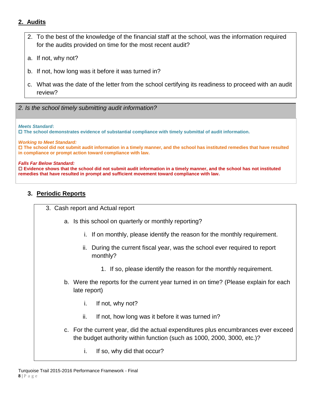# **2. Audits**

- 2. To the best of the knowledge of the financial staff at the school, was the information required for the audits provided on time for the most recent audit?
- a. If not, why not?
- b. If not, how long was it before it was turned in?
- c. What was the date of the letter from the school certifying its readiness to proceed with an audit review?
- *2. Is the school timely submitting audit information?*

#### *Meets Standard***:**

**The school demonstrates evidence of substantial compliance with timely submittal of audit information.** 

*Working to Meet Standard:*

 **The school did not submit audit information in a timely manner, and the school has instituted remedies that have resulted in compliance or prompt action toward compliance with law.**

#### *Falls Far Below Standard:*

 **Evidence shows that the school did not submit audit information in a timely manner, and the school has not instituted remedies that have resulted in prompt and sufficient movement toward compliance with law.**

# **3. Periodic Reports**

| 3. Cash report and Actual report                                                         |
|------------------------------------------------------------------------------------------|
| a. Is this school on quarterly or monthly reporting?                                     |
| i. If on monthly, please identify the reason for the monthly requirement.                |
| During the current fiscal year, was the school ever required to report<br>Ш.<br>monthly? |
| 1. If so, please identify the reason for the monthly requirement.                        |
| b. Were the reports for the current year turned in on time? (Please explain for e        |

- explain for each late report)
	- i. If not, why not?
	- ii. If not, how long was it before it was turned in?
- c. For the current year, did the actual expenditures plus encumbrances ever exceed the budget authority within function (such as 1000, 2000, 3000, etc.)?
	- i. If so, why did that occur?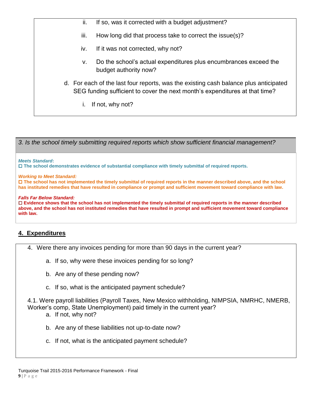- ii. If so, was it corrected with a budget adjustment?
- iii. How long did that process take to correct the issue(s)?
- iv. If it was not corrected, why not?
- v. Do the school's actual expenditures plus encumbrances exceed the budget authority now?
- d. For each of the last four reports, was the existing cash balance plus anticipated SEG funding sufficient to cover the next month's expenditures at that time?
	- i. If not, why not?

*3. Is the school timely submitting required reports which show sufficient financial management?*

*Meets Standard***:**

**The school demonstrates evidence of substantial compliance with timely submittal of required reports.** 

*Working to Meet Standard:*

 **The school has not implemented the timely submittal of required reports in the manner described above, and the school has instituted remedies that have resulted in compliance or prompt and sufficient movement toward compliance with law.**

#### *Falls Far Below Standard:*

 **Evidence shows that the school has not implemented the timely submittal of required reports in the manner described above, and the school has not instituted remedies that have resulted in prompt and sufficient movement toward compliance with law.**

# **4. Expenditures**

- 4. Were there any invoices pending for more than 90 days in the current year?
	- a. If so, why were these invoices pending for so long?
	- b. Are any of these pending now?
	- c. If so, what is the anticipated payment schedule?

4.1. Were payroll liabilities (Payroll Taxes, New Mexico withholding, NIMPSIA, NMRHC, NMERB, Worker's comp, State Unemployment) paid timely in the current year?

- a. If not, why not?
- b. Are any of these liabilities not up-to-date now?
- c. If not, what is the anticipated payment schedule?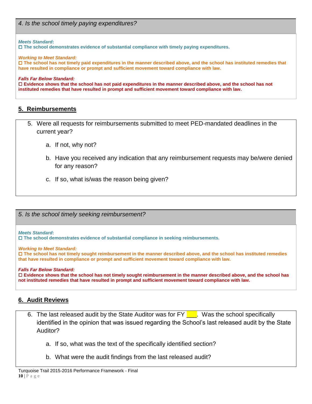#### *Meets Standard***:**

**The school demonstrates evidence of substantial compliance with timely paying expenditures.**

*Working to Meet Standard:*

 **The school has not timely paid expenditures in the manner described above, and the school has instituted remedies that have resulted in compliance or prompt and sufficient movement toward compliance with law.**

#### *Falls Far Below Standard:*

 **Evidence shows that the school has not paid expenditures in the manner described above, and the school has not instituted remedies that have resulted in prompt and sufficient movement toward compliance with law.**

# **5. Reimbursements**

- 5. Were all requests for reimbursements submitted to meet PED-mandated deadlines in the current year?
	- a. If not, why not?
	- b. Have you received any indication that any reimbursement requests may be/were denied for any reason?
	- c. If so, what is/was the reason being given?

*5. Is the school timely seeking reimbursement?*

#### *Meets Standard***:**

**The school demonstrates evidence of substantial compliance in seeking reimbursements.**

*Working to Meet Standard:*

 **The school has not timely sought reimbursement in the manner described above, and the school has instituted remedies that have resulted in compliance or prompt and sufficient movement toward compliance with law.**

#### *Falls Far Below Standard:*

 **Evidence shows that the school has not timely sought reimbursement in the manner described above, and the school has not instituted remedies that have resulted in prompt and sufficient movement toward compliance with law.**

# **6. Audit Reviews**

- 6. The last released audit by the State Auditor was for FY  $\blacksquare$ . Was the school specifically identified in the opinion that was issued regarding the School's last released audit by the State Auditor?
	- a. If so, what was the text of the specifically identified section?
	- b. What were the audit findings from the last released audit?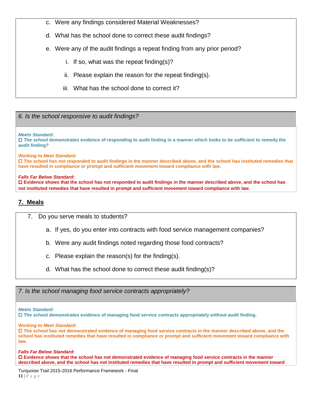- c. Were any findings considered Material Weaknesses?
- d. What has the school done to correct these audit findings?
- e. Were any of the audit findings a repeat finding from any prior period?
	- i. If so, what was the repeat finding(s)?
	- ii. Please explain the reason for the repeat finding(s).
	- iii. What has the school done to correct it?

*6. Is the school responsive to audit findings?*

*Meets Standard***:**

 **The school demonstrates evidence of responding to audit finding in a manner which looks to be sufficient to remedy the audit finding?** 

*Working to Meet Standard:*

 **The school has not responded to audit findings in the manner described above, and the school has instituted remedies that have resulted in compliance or prompt and sufficient movement toward compliance with law.**

*Falls Far Below Standard:*

 **Evidence shows that the school has not responded to audit findings in the manner described above, and the school has not instituted remedies that have resulted in prompt and sufficient movement toward compliance with law.**

# **7. Meals**

7. Do you serve meals to students?

- a. If yes, do you enter into contracts with food service management companies?
- b. Were any audit findings noted regarding those food contracts?
- c. Please explain the reason(s) for the finding(s).
- d. What has the school done to correct these audit finding(s)?

*7. Is the school managing food service contracts appropriately?*

*Meets Standard***:**

**The school demonstrates evidence of managing food service contracts appropriately without audit finding.** 

*Working to Meet Standard:*

 **The school has not demonstrated evidence of managing food service contracts in the manner described above, and the school has instituted remedies that have resulted in compliance or prompt and sufficient movement toward compliance with law.**

*Falls Far Below Standard:*

 **Evidence shows that the school has not demonstrated evidence of managing food service contracts in the manner described above, and the school has not instituted remedies that have resulted in prompt and sufficient movement toward** 

Turquoise Trail 2015-2016 Performance Framework - Final **11** | P a g e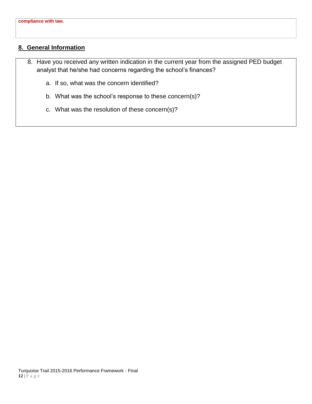# **8. General Information**

- 8. Have you received any written indication in the current year from the assigned PED budget analyst that he/she had concerns regarding the school's finances?
	- a. If so, what was the concern identified?
	- b. What was the school's response to these concern(s)?
	- c. What was the resolution of these concern(s)?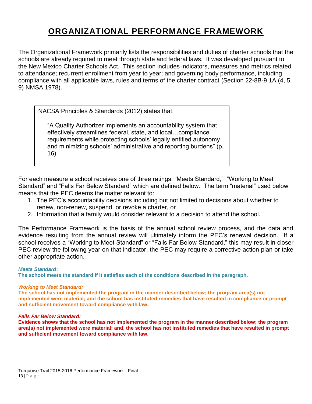# **ORGANIZATIONAL PERFORMANCE FRAMEWORK**

The Organizational Framework primarily lists the responsibilities and duties of charter schools that the schools are already required to meet through state and federal laws. It was developed pursuant to the New Mexico Charter Schools Act. This section includes indicators, measures and metrics related to attendance; recurrent enrollment from year to year; and governing body performance, including compliance with all applicable laws, rules and terms of the charter contract (Section 22-8B-9.1A (4, 5, 9) NMSA 1978).

NACSA Principles & Standards (2012) states that,

"A Quality Authorizer implements an accountability system that effectively streamlines federal, state, and local…compliance requirements while protecting schools' legally entitled autonomy and minimizing schools' administrative and reporting burdens" (p. 16).

For each measure a school receives one of three ratings: "Meets Standard," "Working to Meet Standard" and "Falls Far Below Standard" which are defined below. The term "material" used below means that the PEC deems the matter relevant to:

- 1. The PEC's accountability decisions including but not limited to decisions about whether to renew, non-renew, suspend, or revoke a charter, or
- 2. Information that a family would consider relevant to a decision to attend the school.

The Performance Framework is the basis of the annual school review process, and the data and evidence resulting from the annual review will ultimately inform the PEC's renewal decision. If a school receives a "Working to Meet Standard" or "Falls Far Below Standard," this may result in closer PEC review the following year on that indicator, the PEC may require a corrective action plan or take other appropriate action.

#### *Meets Standard***:**

**The school meets the standard if it satisfies each of the conditions described in the paragraph.**

#### *Working to Meet Standard:*

**The school has not implemented the program in the manner described below; the program area(s) not implemented were material; and the school has instituted remedies that have resulted in compliance or prompt and sufficient movement toward compliance with law.**

#### *Falls Far Below Standard:*

**Evidence shows that the school has not implemented the program in the manner described below; the program area(s) not implemented were material; and, the school has not instituted remedies that have resulted in prompt and sufficient movement toward compliance with law.**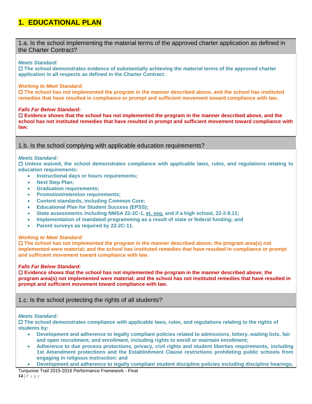# **1. EDUCATIONAL PLAN**

1.a. Is the school implementing the material terms of the approved charter application as defined in the Charter Contract?

#### *Meets Standard***:**

 **The school demonstrates evidence of substantially achieving the material terms of the approved charter application in all respects as defined in the Charter Contract.** 

#### *Working to Meet Standard:*

 **The school has not implemented the program in the manner described above, and the school has instituted remedies that have resulted in compliance or prompt and sufficient movement toward compliance with law.**

#### *Falls Far Below Standard:*

 **Evidence shows that the school has not implemented the program in the manner described above, and the school has not instituted remedies that have resulted in prompt and sufficient movement toward compliance with law.**

1.b. Is the school complying with applicable education requirements?

#### *Meets Standard***:**

 **Unless waived, the school demonstrates compliance with applicable laws, rules, and regulations relating to education requirements:**

- **Instructional days or hours requirements;**
- **Next Step Plan;**
- **Graduation requirements;**
- **Promotion/retention requirements;**
- **Content standards, including Common Core;**
- **Educational Plan for Student Success (EPSS);**
- **State assessments including NMSA 22-2C-1, et. seq. and if a high school, 22-2-8.11;**
- **Implementation of mandated programming as a result of state or federal funding; and**
- **Parent surveys as required by 22-2C-11.**

#### *Working to Meet Standard:*

 **The school has not implemented the program in the manner described above; the program area(s) not implemented were material; and the school has instituted remedies that have resulted in compliance or prompt and sufficient movement toward compliance with law.**

#### *Falls Far Below Standard:*

 **Evidence shows that the school has not implemented the program in the manner described above; the program area(s) not implemented were material; and the school has not instituted remedies that have resulted in prompt and sufficient movement toward compliance with law.**

## 1.c. Is the school protecting the rights of all students?

#### *Meets Standard:*

 **The school demonstrates compliance with applicable laws, rules, and regulations relating to the rights of students by:**

- **Development and adherence to legally compliant policies related to admissions, lottery, waiting lists, fair and open recruitment, and enrollment, including rights to enroll or maintain enrollment;**
- **Adherence to due process protections, privacy, civil rights and student liberties requirements, including 1st Amendment protections and the Establishment Clause restrictions prohibiting public schools from engaging in religious instruction; and**
- **Development and adherence to legally compliant student discipline policies including discipline hearings,**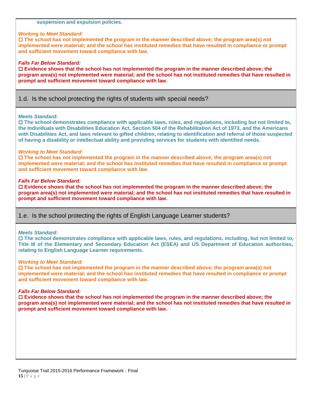#### **suspension and expulsion policies.**

#### *Working to Meet Standard:*

 **The school has not implemented the program in the manner described above; the program area(s) not implemented were material; and the school has instituted remedies that have resulted in compliance or prompt and sufficient movement toward compliance with law.**

#### *Falls Far Below Standard:*

 **Evidence shows that the school has not implemented the program in the manner described above; the program area(s) not implemented were material; and the school has not instituted remedies that have resulted in prompt and sufficient movement toward compliance with law.**

#### 1.d. Is the school protecting the rights of students with special needs?

#### *Meets Standard:*

 **The school demonstrates compliance with applicable laws, rules, and regulations, including but not limited to, the Individuals with Disabilities Education Act, Section 504 of the Rehabilitation Act of 1973, and the Americans with Disabilities Act, and laws relevant to gifted children, relating to identification and referral of those suspected of having a disability or intellectual ability and providing services for students with identified needs.**

#### *Working to Meet Standard:*

 **The school has not implemented the program in the manner described above; the program area(s) not implemented were material; and the school has instituted remedies that have resulted in compliance or prompt and sufficient movement toward compliance with law.**

#### *Falls Far Below Standard:*

 **Evidence shows that the school has not implemented the program in the manner described above; the program area(s) not implemented were material; and the school has not instituted remedies that have resulted in prompt and sufficient movement toward compliance with law.**

#### 1.e. Is the school protecting the rights of English Language Learner students?

#### *Meets Standard:*

 **The school demonstrates compliance with applicable laws, rules, and regulations, including, but not limited to, Title III of the Elementary and Secondary Education Act (ESEA) and US Department of Education authorities, relating to English Language Learner requirements.**

#### *Working to Meet Standard:*

 **The school has not implemented the program in the manner described above; the program area(s) not implemented were material; and the school has instituted remedies that have resulted in compliance or prompt and sufficient movement toward compliance with law.**

#### *Falls Far Below Standard:*

 **Evidence shows that the school has not implemented the program in the manner described above; the program area(s) not implemented were material; and the school has not instituted remedies that have resulted in prompt and sufficient movement toward compliance with law.**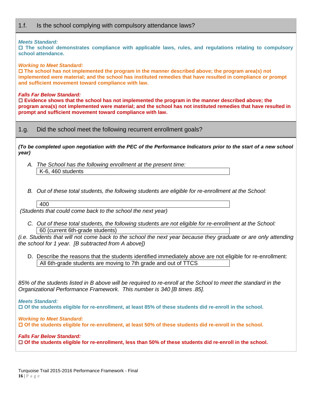# 1.f. Is the school complying with compulsory attendance laws?

#### *Meets Standard:*

 **The school demonstrates compliance with applicable laws, rules, and regulations relating to compulsory school attendance.**

#### *Working to Meet Standard:*

 **The school has not implemented the program in the manner described above; the program area(s) not implemented were material; and the school has instituted remedies that have resulted in compliance or prompt and sufficient movement toward compliance with law.**

#### *Falls Far Below Standard:*

 **Evidence shows that the school has not implemented the program in the manner described above; the program area(s) not implemented were material; and the school has not instituted remedies that have resulted in prompt and sufficient movement toward compliance with law.**

1.g. Did the school meet the following recurrent enrollment goals?

*(To be completed upon negotiation with the PEC of the Performance Indicators prior to the start of a new school year)*

*A. The School has the following enrollment at the present time:*  K-6, 460 students

*B. Out of these total students, the following students are eligible for re-enrollment at the School:* 

#### 400

*(Students that could come back to the school the next year)*

*C. Out of these total students, the following students are not eligible for re-enrollment at the School:*  60 (current 6th-grade students)

*(i.e. Students that will not come back to the school the next year because they graduate or are only attending the school for 1 year. [B subtracted from A above])*

D. Describe the reasons that the students identified immediately above are not eligible for re-enrollment: All 6th-grade students are moving to 7th grade and out of TTCS

*85% of the students listed in B above will be required to re-enroll at the School to meet the standard in the Organizational Performance Framework. This number is 340 [B times .85].*

*Meets Standard:*

**Of the students eligible for re-enrollment, at least 85% of these students did re-enroll in the school.**

*Working to Meet Standard:*

**Of the students eligible for re-enrollment, at least 50% of these students did re-enroll in the school.**

*Falls Far Below Standard:* **Of the students eligible for re-enrollment, less than 50% of these students did re-enroll in the school.**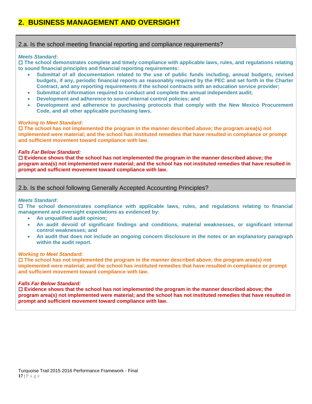# **2. BUSINESS MANAGEMENT AND OVERSIGHT**

# 2.a. Is the school meeting financial reporting and compliance requirements?

#### *Meets Standard***:**

 **The school demonstrates complete and timely compliance with applicable laws, rules, and regulations relating to sound financial principles and financial reporting requirements:**

- **Submittal of all documentation related to the use of public funds including, annual budgets, revised budgets, if any, periodic financial reports as reasonably required by the PEC and set forth in the Charter Contract, and any reporting requirements if the school contracts with an education service provider;**
- **Submittal of information required to conduct and complete the annual independent audit;**
- **Development and adherence to sound internal control policies; and**
- **Development and adherence to purchasing protocols that comply with the New Mexico Procurement Code, and all other applicable purchasing laws.**

#### *Working to Meet Standard:*

 **The school has not implemented the program in the manner described above; the program area(s) not implemented were material; and the school has instituted remedies that have resulted in compliance or prompt and sufficient movement toward compliance with law.**

#### *Falls Far Below Standard:*

 **Evidence shows that the school has not implemented the program in the manner described above; the program area(s) not implemented were material; and the school has not instituted remedies that have resulted in prompt and sufficient movement toward compliance with law.**

# 2.b. Is the school following Generally Accepted Accounting Principles?

#### *Meets Standard***:**

 **The school demonstrates compliance with applicable laws, rules, and regulations relating to financial management and oversight expectations as evidenced by:**

- **An unqualified audit opinion;**
- **An audit devoid of significant findings and conditions, material weaknesses, or significant internal control weaknesses; and**
- **An audit that does not include an ongoing concern disclosure in the notes or an explanatory paragraph within the audit report.**

#### *Working to Meet Standard:*

 **The school has not implemented the program in the manner described above; the program area(s) not implemented were material; and the school has instituted remedies that have resulted in compliance or prompt and sufficient movement toward compliance with law.**

#### *Falls Far Below Standard:*

 **Evidence shows that the school has not implemented the program in the manner described above; the program area(s) not implemented were material; and the school has not instituted remedies that have resulted in prompt and sufficient movement toward compliance with law.**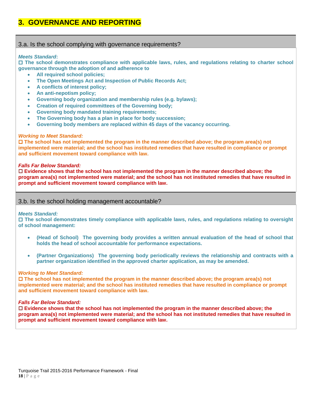# **3. GOVERNANCE AND REPORTING**

#### 3.a. Is the school complying with governance requirements?

#### *Meets Standard***:**

 **The school demonstrates compliance with applicable laws, rules, and regulations relating to charter school governance through the adoption of and adherence to**

- **All required school policies;**
- **The Open Meetings Act and Inspection of Public Records Act;**
- **A conflicts of interest policy;**
- **An anti-nepotism policy;**
- **Governing body organization and membership rules (e.g. bylaws);**
- **Creation of required committees of the Governing body;**
- **Governing body mandated training requirements;**
- **The Governing body has a plan in place for body succession;**
- **Governing body members are replaced within 45 days of the vacancy occurring.**

#### *Working to Meet Standard:*

 **The school has not implemented the program in the manner described above; the program area(s) not implemented were material; and the school has instituted remedies that have resulted in compliance or prompt and sufficient movement toward compliance with law.**

#### *Falls Far Below Standard:*

 **Evidence shows that the school has not implemented the program in the manner described above; the program area(s) not implemented were material; and the school has not instituted remedies that have resulted in prompt and sufficient movement toward compliance with law.**

#### 3.b. Is the school holding management accountable?

#### *Meets Standard:*

 **The school demonstrates timely compliance with applicable laws, rules, and regulations relating to oversight of school management:**

- **(Head of School) The governing body provides a written annual evaluation of the head of school that holds the head of school accountable for performance expectations.**
- **(Partner Organizations) The governing body periodically reviews the relationship and contracts with a partner organization identified in the approved charter application, as may be amended.**

#### *Working to Meet Standard:*

 **The school has not implemented the program in the manner described above; the program area(s) not implemented were material; and the school has instituted remedies that have resulted in compliance or prompt and sufficient movement toward compliance with law.**

#### *Falls Far Below Standard:*

 **Evidence shows that the school has not implemented the program in the manner described above; the program area(s) not implemented were material; and the school has not instituted remedies that have resulted in prompt and sufficient movement toward compliance with law.**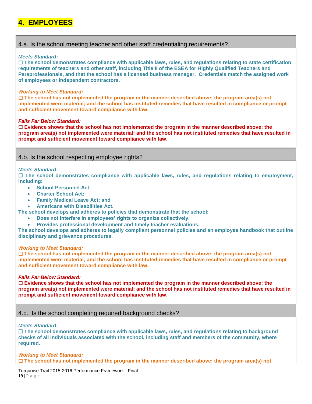# **4. EMPLOYEES**

# 4.a. Is the school meeting teacher and other staff credentialing requirements?

#### *Meets Standard***:**

 **The school demonstrates compliance with applicable laws, rules, and regulations relating to state certification requirements of teachers and other staff, including Title II of the ESEA for Highly Qualified Teachers and Paraprofessionals, and that the school has a licensed business manager. Credentials match the assigned work of employees or independent contractors.** 

#### *Working to Meet Standard:*

 **The school has not implemented the program in the manner described above; the program area(s) not implemented were material; and the school has instituted remedies that have resulted in compliance or prompt and sufficient movement toward compliance with law.**

#### *Falls Far Below Standard:*

 **Evidence shows that the school has not implemented the program in the manner described above; the program area(s) not implemented were material; and the school has not instituted remedies that have resulted in prompt and sufficient movement toward compliance with law.**

## 4.b. Is the school respecting employee rights?

#### *Meets Standard***:**

 **The school demonstrates compliance with applicable laws, rules, and regulations relating to employment, including:**

- **School Personnel Act:**
- **Charter School Act;**
- **Family Medical Leave Act; and**
- **Americans with Disabilities Act.**

**The school develops and adheres to policies that demonstrate that the school:**

- **Does not interfere in employees' rights to organize collectively.**
- **Provides professional development and timely teacher evaluations.**

**The school develops and adheres to legally compliant personnel policies and an employee handbook that outline disciplinary and grievance procedures.**

#### *Working to Meet Standard:*

 **The school has not implemented the program in the manner described above; the program area(s) not implemented were material; and the school has instituted remedies that have resulted in compliance or prompt and sufficient movement toward compliance with law.**

#### *Falls Far Below Standard:*

 **Evidence shows that the school has not implemented the program in the manner described above; the program area(s) not implemented were material; and the school has not instituted remedies that have resulted in prompt and sufficient movement toward compliance with law.**

## 4.c. Is the school completing required background checks?

#### *Meets Standard***:**

 **The school demonstrates compliance with applicable laws, rules, and regulations relating to background checks of all individuals associated with the school, including staff and members of the community, where required.**

*Working to Meet Standard:* **The school has not implemented the program in the manner described above; the program area(s) not** 

Turquoise Trail 2015-2016 Performance Framework - Final **19** | P a g e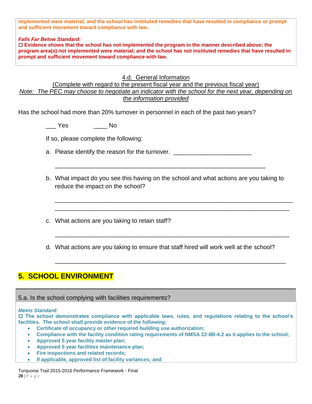**implemented were material; and the school has instituted remedies that have resulted in compliance or prompt and sufficient movement toward compliance with law.**

*Falls Far Below Standard:*

 **Evidence shows that the school has not implemented the program in the manner described above; the program area(s) not implemented were material; and the school has not instituted remedies that have resulted in prompt and sufficient movement toward compliance with law.**

# 4.d. General Information

(Complete with regard to the present fiscal year and the previous fiscal year) *Note: The PEC may choose to negotiate an indicator with the school for the next year, depending on the information provided*

Has the school had more than 20% turnover in personnel in each of the past two years?

\_\_\_ Yes \_\_\_\_ No

If so, please complete the following:

a. Please identify the reason for the turnover.

b. What impact do you see this having on the school and what actions are you taking to reduce the impact on the school?

\_\_\_\_\_\_\_\_\_\_\_\_\_\_\_\_\_\_\_\_\_\_\_\_\_\_\_\_\_\_\_\_\_\_\_\_\_\_\_\_\_\_\_\_\_\_\_\_\_\_\_\_\_\_\_\_\_\_\_\_\_\_\_\_\_\_\_\_\_\_ \_\_\_\_\_\_\_\_\_\_\_\_\_\_\_\_\_\_\_\_\_\_\_\_\_\_\_\_\_\_\_\_\_\_\_\_\_\_\_\_\_\_\_\_\_\_\_\_\_\_\_\_\_\_\_\_\_\_\_\_\_\_\_\_\_\_\_\_\_

\_\_\_\_\_\_\_\_\_\_\_\_\_\_\_\_\_\_\_\_\_\_\_\_\_\_\_\_\_\_\_\_\_\_\_\_\_\_\_\_\_\_\_\_\_\_\_\_\_\_\_\_\_\_\_\_\_\_\_\_\_\_\_\_\_\_\_\_\_

\_\_\_\_\_\_\_\_\_\_\_\_\_\_\_\_\_\_\_\_\_\_\_\_\_\_\_\_\_\_\_\_\_\_\_\_\_\_\_\_\_\_\_\_\_\_\_\_\_\_\_\_\_\_\_\_\_\_\_\_\_\_\_\_\_\_\_\_

\_\_\_\_\_\_\_\_\_\_\_\_\_\_\_\_\_\_\_\_\_\_\_\_\_\_\_\_\_\_\_\_\_\_\_\_\_\_\_\_\_\_\_\_\_\_\_\_\_\_\_\_\_\_\_\_\_\_\_\_\_\_

- c. What actions are you taking to retain staff?
- d. What actions are you taking to ensure that staff hired will work well at the school?

# **5. SCHOOL ENVIRONMENT**

5.a. Is the school complying with facilities requirements?

#### *Meets Standard***:**

 **The school demonstrates compliance with applicable laws, rules, and regulations relating to the school's facilities. The school shall provide evidence of the following:**

- **Certificate of occupancy or other required building use authorization;**
- **Compliance with the facility condition rating requirements of NMSA 22-8B-4.2 as it applies to the school;**
- **Approved 5 year facility master plan;**
- **Approved 5 year facilities maintenance plan;**
- **Fire inspections and related records;**
- **If applicable, approved list of facility variances; and**

Turquoise Trail 2015-2016 Performance Framework - Final **20** | P a g e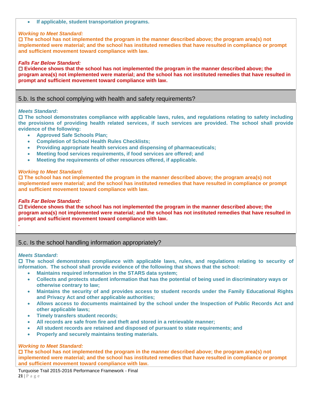**If applicable, student transportation programs.**

#### *Working to Meet Standard:*

 **The school has not implemented the program in the manner described above; the program area(s) not implemented were material; and the school has instituted remedies that have resulted in compliance or prompt and sufficient movement toward compliance with law.**

#### *Falls Far Below Standard:*

 **Evidence shows that the school has not implemented the program in the manner described above; the program area(s) not implemented were material; and the school has not instituted remedies that have resulted in prompt and sufficient movement toward compliance with law.**

#### 5.b. Is the school complying with health and safety requirements?

#### *Meets Standard***:**

 **The school demonstrates compliance with applicable laws, rules, and regulations relating to safety including the provisions of providing health related services, if such services are provided. The school shall provide evidence of the following:**

- **Approved Safe Schools Plan;**
- **Completion of School Health Rules Checklists;**
- **Providing appropriate health services and dispensing of pharmaceuticals;**
- **Meeting food services requirements, if food services are offered; and**
- **Meeting the requirements of other resources offered, if applicable.**

#### *Working to Meet Standard:*

 **The school has not implemented the program in the manner described above; the program area(s) not implemented were material; and the school has instituted remedies that have resulted in compliance or prompt and sufficient movement toward compliance with law.**

#### *Falls Far Below Standard:*

 **Evidence shows that the school has not implemented the program in the manner described above; the program area(s) not implemented were material; and the school has not instituted remedies that have resulted in prompt and sufficient movement toward compliance with law.**

#### 5.c. Is the school handling information appropriately?

#### *Meets Standard***:**

**.**

 **The school demonstrates compliance with applicable laws, rules, and regulations relating to security of information. The school shall provide evidence of the following that shows that the school:**

- **Maintains required information in the STARS data system;**
- **Collects and protects student information that has the potential of being used in discriminatory ways or otherwise contrary to law;**
- **Maintains the security of and provides access to student records under the Family Educational Rights and Privacy Act and other applicable authorities;**
- **Allows access to documents maintained by the school under the Inspection of Public Records Act and other applicable laws;**
- **Timely transfers student records;**
- **All records are safe from fire and theft and stored in a retrievable manner;**
- **All student records are retained and disposed of pursuant to state requirements; and**
- **Properly and securely maintains testing materials.**

#### *Working to Meet Standard:*

 **The school has not implemented the program in the manner described above; the program area(s) not implemented were material; and the school has instituted remedies that have resulted in compliance or prompt and sufficient movement toward compliance with law.**